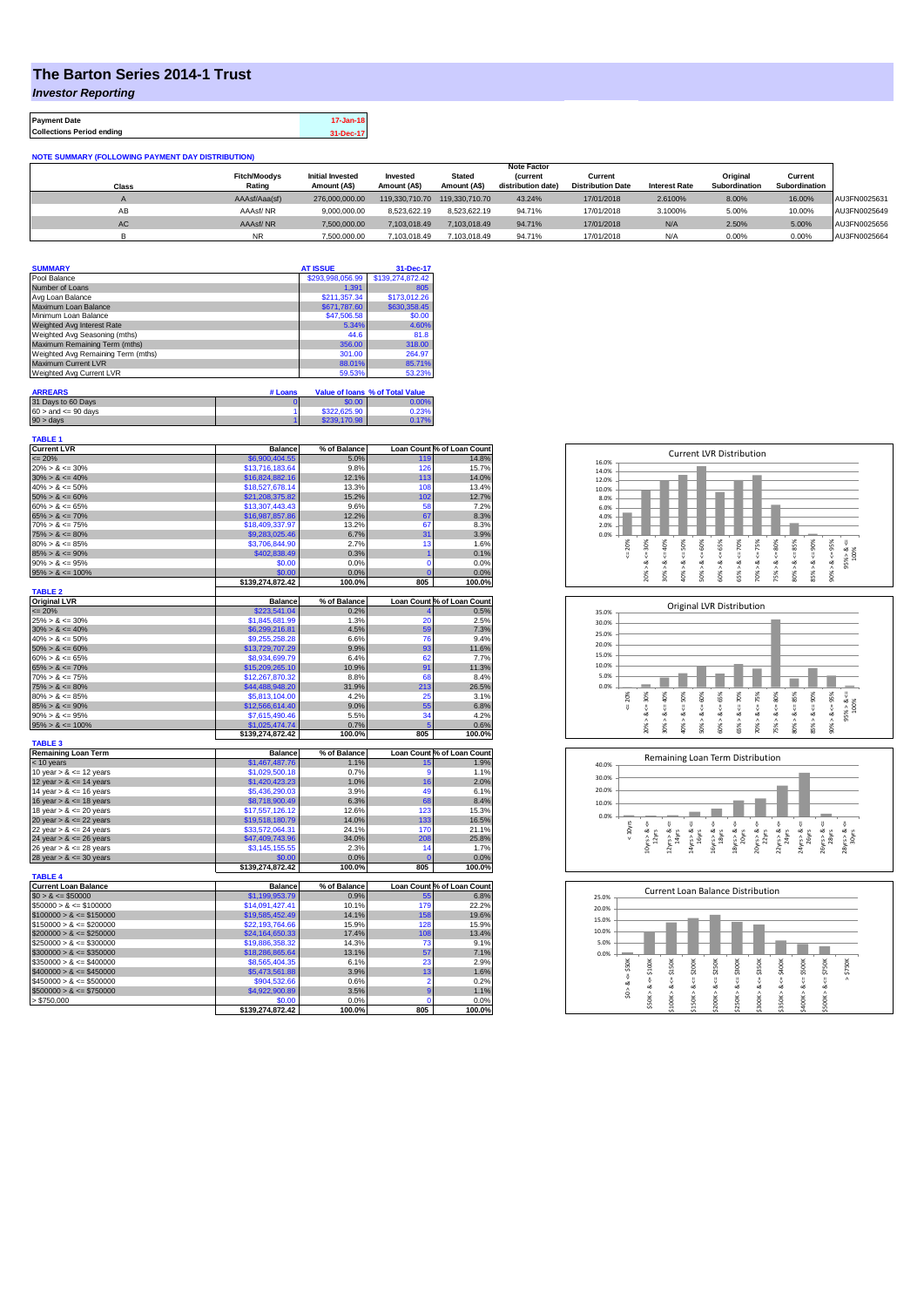## **The Barton Series 2014-1 Trust**

*Investor Reporting*

**Payment Date 17-Jan-18 Collections Period ending 31-Dec-17**

|  |  | NOTE SUMMARY (FOLLOWING PAYMENT DAY DISTRIBUTION) |  |
|--|--|---------------------------------------------------|--|
|  |  |                                                   |  |

|       |                     |                         |              |                                | <b>Note Factor</b> |                          |                      |                      |               |              |
|-------|---------------------|-------------------------|--------------|--------------------------------|--------------------|--------------------------|----------------------|----------------------|---------------|--------------|
|       | <b>Fitch/Moodys</b> | <b>Initial Invested</b> | Invested     | <b>Stated</b>                  | <b>Current</b>     | Current                  |                      | Original             | Current       |              |
| Class | Rating              | Amount (A\$)            | Amount (A\$) | Amount (A\$)                   | distribution date) | <b>Distribution Date</b> | <b>Interest Rate</b> | <b>Subordination</b> | Subordination |              |
|       | AAAsf/Aaa(sf)       | 276,000,000,00          |              | 119.330.710.70  119.330.710.70 | 43.24%             | 17/01/2018               | 2.6100%              | 8.00%                | 16.00%        | AU3FN0025631 |
| AB    | AAAsf/NR            | 9.000.000.00            | 8.523.622.19 | 8.523.622.19                   | 94.71%             | 17/01/2018               | 3.1000%              | 5.00%                | 10.00%        | AU3FN0025649 |
| AC.   | AAAsf/NR            | 7.500.000.00            | 7.103.018.49 | 7.103.018.49                   | 94.71%             | 17/01/2018               | N/A                  | 2.50%                | 5.00%         | AU3FN0025656 |
|       | <b>NR</b>           | 7.500.000.00            | 7.103.018.49 | 7.103.018.49                   | 94.71%             | 17/01/2018               | N/A                  | 0.00%                | 0.00%         | AU3FN0025664 |

| <b>SUMMARY</b>                     |         | <b>AT ISSUE</b>  | 31-Dec-17                       |
|------------------------------------|---------|------------------|---------------------------------|
| Pool Balance                       |         | \$293,998,056.99 | \$139,274,872.42                |
| Number of Loans                    |         | 1.391            | 805                             |
| Avg Loan Balance                   |         | \$211.357.34     | \$173,012.26                    |
| Maximum Loan Balance               |         | \$671,787.60     | \$630,358.45                    |
| Minimum Loan Balance               |         | \$47,506.58      | \$0.00                          |
| Weighted Avg Interest Rate         |         | 5.34%            | 4.60%                           |
| Weighted Avg Seasoning (mths)      |         | 44.6             | 81.8                            |
| Maximum Remaining Term (mths)      |         | 356.00           | 318.00                          |
| Weighted Avg Remaining Term (mths) |         | 301.00           | 264.97                          |
| Maximum Current LVR                |         | 88.01%           | 85.71%                          |
| Weighted Avg Current LVR           |         | 59.53%           | 53.23%                          |
|                                    |         |                  |                                 |
| <b>ARREARS</b>                     | # Loans |                  | Value of Ioans % of Total Value |

| .                         |              | <u>the compared the second the company of the company of the company of the company of the company of the company of the company of the company of the company of the company of the company of the company of the company of th</u> |
|---------------------------|--------------|--------------------------------------------------------------------------------------------------------------------------------------------------------------------------------------------------------------------------------------|
| 31 Days to 60 Days        | \$0.00       | 0.00%                                                                                                                                                                                                                                |
| $60 >$ and $\leq 90$ days | \$322,625.90 | 0.23%                                                                                                                                                                                                                                |
| 90 > davs                 | \$239,170.98 | 0.17%                                                                                                                                                                                                                                |

| <b>TABLE 1</b><br><b>Current LVR</b> | <b>Balance</b>             | % of Balance   |                    | Loan Count % of Loan Count     |
|--------------------------------------|----------------------------|----------------|--------------------|--------------------------------|
| $= 20%$                              | \$6,900,404.55             | 5.0%           | 119                | 14.8%                          |
| $20\% > 8 \le 30\%$                  | \$13,716,183.64            | 9.8%           | 126                | 15.7%                          |
| $30\% > 8 \le 40\%$                  | \$16,824,882.16            | 12.1%          | 113                | 14.0%                          |
| $40\% > 8 \le 50\%$                  | \$18,527,678.14            | 13.3%          | 108                | 13.4%                          |
| $50\% > 8 \le 60\%$                  | \$21,208,375.82            | 15.2%          | 102                | 12.7%                          |
| $60\% > 8 \le 65\%$                  | \$13,307,443.43            | 9.6%           | 58                 | 7.2%                           |
| $65\% > 8 \le 70\%$                  | \$16,987,857,86            | 12.2%          | 67                 | 8.3%                           |
| $70\% > 8 \le 75\%$                  | \$18,409,337.97            | 13.2%          | 67                 | 8.3%                           |
| $75\% > 8 \le 80\%$                  | \$9,283,025.46             | 6.7%           | 31                 | 3.9%                           |
| $80\% > 8 \le 85\%$                  | \$3,706,844.90             | 2.7%           | 13                 | 1.6%                           |
| $85\% > 8 \le 90\%$                  | \$402,838.49               | 0.3%           | 1                  | 0.1%                           |
| $90\% > 8 \le 95\%$                  | \$0.00                     | 0.0%           | $\mathbf 0$        | 0.0%                           |
| $95\% > 8 \le 100\%$                 | \$0.00                     | 0.0%           | C                  | 0.0%                           |
|                                      | \$139.274.872.42           | 100.0%         | 805                | 100.0%                         |
| <b>TABLE 2</b>                       |                            |                |                    |                                |
| <b>Original LVR</b>                  | <b>Balance</b>             | % of Balance   |                    | Loan Count % of Loan Count     |
| $= 20%$                              | \$223,541.04               | 0.2%           |                    | 0.5%                           |
| $25\% > 8 \le 30\%$                  | \$1,845,681.99             | 1.3%           | 20                 | 2.5%                           |
| $30\% > 8 \le 40\%$                  | \$6,299,216.81             | 4.5%           | 59                 | 7.3%                           |
| $40\% > 8 \le 50\%$                  | \$9,255,258.28             | 6.6%           | 76                 | 9.4%                           |
| $50\% > 8 \le 60\%$                  | \$13,729,707.29            | 9.9%           | 93                 | 11.6%                          |
| $60\% > 8 \le 65\%$                  | \$8,934,699.79             | 6.4%           | 62                 | 7.7%                           |
| $65\% > 8 \le 70\%$                  | \$15,209,265.10            | 10.9%          | 91                 | 11.3%                          |
| $70\% > 8 \le 75\%$                  | \$12,267,870.32            | 8.8%           | 68                 | 8.4%                           |
| $75\% > 8 \le 80\%$                  | \$44,488,948.20            | 31.9%          | 213                | 26.5%                          |
| $80\% > 8 \le 85\%$                  | \$5,813,104.00             | 4.2%           | 25                 | 3.1%                           |
| $85\% > 8 \le 90\%$                  | \$12,566,614.40            | 9.0%           | 55                 | 6.8%                           |
| $90\% > 8 \le 95\%$                  | \$7.615.490.46             | 5.5%           | 34                 | 4.2%                           |
| $95\% > 8 \le 100\%$                 | \$1,025,474.74             | 0.7%           | 5                  | 0.6%                           |
| <b>TABLE 3</b>                       | \$139,274,872.42           | 100.0%         | 805                | 100.0%                         |
| <b>Remaining Loan Term</b>           | <b>Balance</b>             | % of Balance   |                    | Loan Count % of Loan Count     |
| < 10 years                           | \$1,467,487.76             | 1.1%           | 15                 | 1.9%                           |
| 10 year $> 8 \le 12$ years           | \$1,029,500.18             | 0.7%           | 9                  | 1.1%                           |
| 12 year $> 8 \le 14$ years           | \$1,420,423.23             | 1.0%           | 16                 | 2.0%                           |
| 14 year $> 8 \le 16$ years           | \$5,436,290.03             | 3.9%           | 49                 | 6.1%                           |
| 16 year $> 8 \le 18$ years           | \$8,718,900.49             | 6.3%           | 68                 | 8.4%                           |
| 18 year $> 8 \le 20$ years           | \$17,557,126.12            | 12.6%          | 123                | 15.3%                          |
| 20 year $> 8 \le 22$ years           | \$19,518,180.79            | 14.0%          | 133                | 16.5%                          |
| 22 year $> 8 \le 24$ years           | \$33,572,064.31            | 24.1%          | 170                | 21.1%                          |
| 24 year $> 8 \le 26$ years           | \$47,409,743.96            | 34.0%          | 208                | 25.8%                          |
| 26 year $> 8 \le 28$ years           | \$3,145,155.55             | 2.3%           | 14                 | 1.7%                           |
| 28 year $> 8 \le 30$ years           | \$0.00                     | 0.0%           | $\overline{0}$     | 0.0%                           |
|                                      | \$139,274,872.42           | 100.0%         | 805                | 100.0%                         |
| <b>TABLE 4</b>                       |                            |                |                    |                                |
| <b>Current Loan Balance</b>          | <b>Balance</b>             | % of Balance   |                    | Loan Count % of Loan Count     |
| $$0 > 8 \leq $50000$                 | \$1,199,953.79             | 0.9%           | 55                 | 6.8%                           |
| $$50000 > 8 \le $100000$             | \$14,091,427.41            | 10.1%          | 179                | 22.2%                          |
| $$100000 > 8 \le $150000$            | \$19,585,452.49            | 14.1%          | 158                | 19.6%                          |
| $$150000 > 8 \leq $200000$           | \$22,193,764.66            | 15.9%          | 128                | 15.9%                          |
| $$200000 > 8 \leq $250000$           | \$24,164,650.33            | 17.4%          | 108                | 13.4%                          |
| $$250000 > 8 \leq $300000$           | \$19,886,358.32            | 14.3%          | 73                 | 9.1%                           |
| $$300000 > 8 \leq $350000$           | \$18,286,865.64            | 13.1%          | 57                 | 7.1%                           |
| $$350000 > 8 \le $400000$            | \$8,565,404.35             | 6.1%           | 23                 | 2.9%                           |
|                                      | \$5,473,561.88             | 3.9%           | 13                 | 1.6%                           |
| $$400000 > 8 \le $450000$            |                            |                |                    |                                |
| $$450000 > 8 \le $500000$            | \$904,532.66               | 0.6%           | $\overline{2}$     |                                |
| $$500000 > 8 \le $750000$            | \$4,922,900.89             | 3.5%           | 9                  |                                |
| > \$750,000                          | \$0.00<br>\$139,274,872.42 | 0.0%<br>100.0% | $\mathbf 0$<br>805 | 0.2%<br>1.1%<br>0.0%<br>100.0% |







| 25.0% |        |            | <b>Current Loan Balance Distribution</b> |         |        |         |        |         |        |         |          |
|-------|--------|------------|------------------------------------------|---------|--------|---------|--------|---------|--------|---------|----------|
| 20.0% |        |            |                                          |         |        |         |        |         |        |         |          |
| 15.0% |        |            |                                          |         |        |         |        |         |        |         |          |
| 10.0% |        |            |                                          |         |        |         |        |         |        |         |          |
| 5.0%  |        |            |                                          |         |        |         |        |         |        |         |          |
| 0.0%  |        |            |                                          |         |        |         |        |         |        |         |          |
|       | \$50K  | \$100K     | \$150K                                   | \$200K  | \$250K | \$300K  | \$350K | \$400K  | \$500K | \$750K  | \$750K   |
|       | ő      | ő          | V                                        | ÷,      | U      | IJ      |        | ű       | υ      | ű       | $\wedge$ |
|       | త<br>Λ | ಯ          | œ                                        | ಜ       | ಯ      | ∞       | œ      | ∞       | œ      | ಹ       |          |
|       | s.     | ٨<br>\$50K | Λ                                        | \$150K> | Λ      | \$250K> |        | \$350K> |        | \$500K> |          |
|       |        |            | \$100K                                   |         | \$200K |         | \$300K |         | \$400K |         |          |